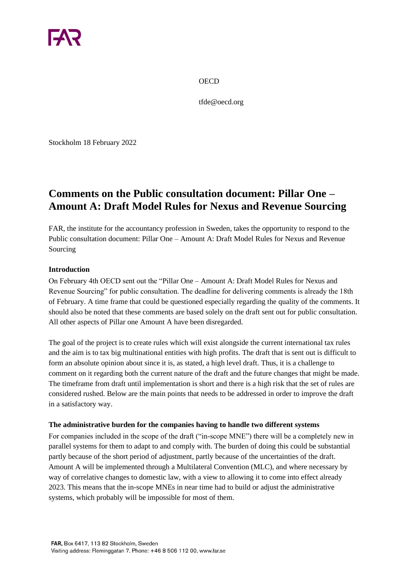**OECD** 

tfde@oecd.org

Stockholm 18 February 2022

# **Comments on the Public consultation document: Pillar One – Amount A: Draft Model Rules for Nexus and Revenue Sourcing**

FAR, the institute for the accountancy profession in Sweden, takes the opportunity to respond to the Public consultation document: Pillar One – Amount A: Draft Model Rules for Nexus and Revenue Sourcing

#### **Introduction**

On February 4th OECD sent out the "Pillar One – Amount A: Draft Model Rules for Nexus and Revenue Sourcing" for public consultation. The deadline for delivering comments is already the 18th of February. A time frame that could be questioned especially regarding the quality of the comments. It should also be noted that these comments are based solely on the draft sent out for public consultation. All other aspects of Pillar one Amount A have been disregarded.

The goal of the project is to create rules which will exist alongside the current international tax rules and the aim is to tax big multinational entities with high profits. The draft that is sent out is difficult to form an absolute opinion about since it is, as stated, a high level draft. Thus, it is a challenge to comment on it regarding both the current nature of the draft and the future changes that might be made. The timeframe from draft until implementation is short and there is a high risk that the set of rules are considered rushed. Below are the main points that needs to be addressed in order to improve the draft in a satisfactory way.

### **The administrative burden for the companies having to handle two different systems**

For companies included in the scope of the draft ("in-scope MNE") there will be a completely new in parallel systems for them to adapt to and comply with. The burden of doing this could be substantial partly because of the short period of adjustment, partly because of the uncertainties of the draft. Amount A will be implemented through a Multilateral Convention (MLC), and where necessary by way of correlative changes to domestic law, with a view to allowing it to come into effect already 2023. This means that the in-scope MNEs in near time had to build or adjust the administrative systems, which probably will be impossible for most of them.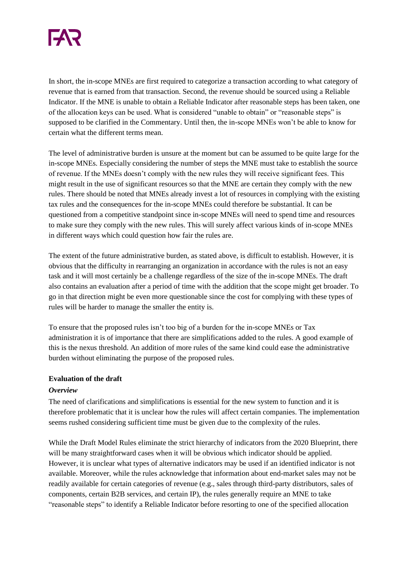

In short, the in-scope MNEs are first required to categorize a transaction according to what category of revenue that is earned from that transaction. Second, the revenue should be sourced using a Reliable Indicator. If the MNE is unable to obtain a Reliable Indicator after reasonable steps has been taken, one of the allocation keys can be used. What is considered "unable to obtain" or "reasonable steps" is supposed to be clarified in the Commentary. Until then, the in-scope MNEs won't be able to know for certain what the different terms mean.

The level of administrative burden is unsure at the moment but can be assumed to be quite large for the in-scope MNEs. Especially considering the number of steps the MNE must take to establish the source of revenue. If the MNEs doesn't comply with the new rules they will receive significant fees. This might result in the use of significant resources so that the MNE are certain they comply with the new rules. There should be noted that MNEs already invest a lot of resources in complying with the existing tax rules and the consequences for the in-scope MNEs could therefore be substantial. It can be questioned from a competitive standpoint since in-scope MNEs will need to spend time and resources to make sure they comply with the new rules. This will surely affect various kinds of in-scope MNEs in different ways which could question how fair the rules are.

The extent of the future administrative burden, as stated above, is difficult to establish. However, it is obvious that the difficulty in rearranging an organization in accordance with the rules is not an easy task and it will most certainly be a challenge regardless of the size of the in-scope MNEs. The draft also contains an evaluation after a period of time with the addition that the scope might get broader. To go in that direction might be even more questionable since the cost for complying with these types of rules will be harder to manage the smaller the entity is.

To ensure that the proposed rules isn't too big of a burden for the in-scope MNEs or Tax administration it is of importance that there are simplifications added to the rules. A good example of this is the nexus threshold. An addition of more rules of the same kind could ease the administrative burden without eliminating the purpose of the proposed rules.

### **Evaluation of the draft**

### *Overview*

The need of clarifications and simplifications is essential for the new system to function and it is therefore problematic that it is unclear how the rules will affect certain companies. The implementation seems rushed considering sufficient time must be given due to the complexity of the rules.

While the Draft Model Rules eliminate the strict hierarchy of indicators from the 2020 Blueprint, there will be many straightforward cases when it will be obvious which indicator should be applied. However, it is unclear what types of alternative indicators may be used if an identified indicator is not available. Moreover, while the rules acknowledge that information about end-market sales may not be readily available for certain categories of revenue (e.g., sales through third-party distributors, sales of components, certain B2B services, and certain IP), the rules generally require an MNE to take "reasonable steps" to identify a Reliable Indicator before resorting to one of the specified allocation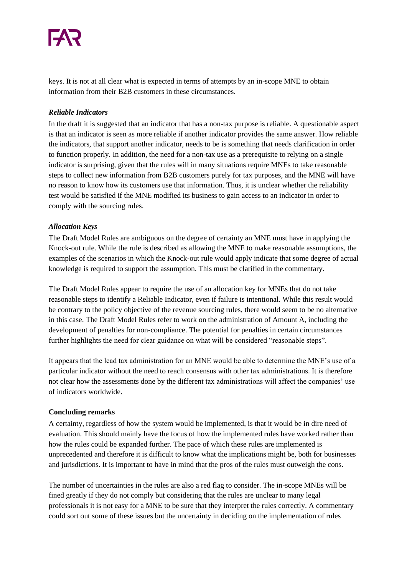keys. It is not at all clear what is expected in terms of attempts by an in-scope MNE to obtain information from their B2B customers in these circumstances.

# *Reliable Indicators*

In the draft it is suggested that an indicator that has a non-tax purpose is reliable. A questionable aspect is that an indicator is seen as more reliable if another indicator provides the same answer. How reliable the indicators, that support another indicator, needs to be is something that needs clarification in order to function properly. In addition, the need for a non-tax use as a prerequisite to relying on a single indicator is surprising, given that the rules will in many situations require MNEs to take reasonable steps to collect new information from B2B customers purely for tax purposes, and the MNE will have no reason to know how its customers use that information. Thus, it is unclear whether the reliability test would be satisfied if the MNE modified its business to gain access to an indicator in order to comply with the sourcing rules.

# *Allocation Keys*

The Draft Model Rules are ambiguous on the degree of certainty an MNE must have in applying the Knock-out rule. While the rule is described as allowing the MNE to make reasonable assumptions, the examples of the scenarios in which the Knock-out rule would apply indicate that some degree of actual knowledge is required to support the assumption. This must be clarified in the commentary.

The Draft Model Rules appear to require the use of an allocation key for MNEs that do not take reasonable steps to identify a Reliable Indicator, even if failure is intentional. While this result would be contrary to the policy objective of the revenue sourcing rules, there would seem to be no alternative in this case. The Draft Model Rules refer to work on the administration of Amount A, including the development of penalties for non-compliance. The potential for penalties in certain circumstances further highlights the need for clear guidance on what will be considered "reasonable steps".

It appears that the lead tax administration for an MNE would be able to determine the MNE's use of a particular indicator without the need to reach consensus with other tax administrations. It is therefore not clear how the assessments done by the different tax administrations will affect the companies' use of indicators worldwide.

# **Concluding remarks**

A certainty, regardless of how the system would be implemented, is that it would be in dire need of evaluation. This should mainly have the focus of how the implemented rules have worked rather than how the rules could be expanded further. The pace of which these rules are implemented is unprecedented and therefore it is difficult to know what the implications might be, both for businesses and jurisdictions. It is important to have in mind that the pros of the rules must outweigh the cons.

The number of uncertainties in the rules are also a red flag to consider. The in-scope MNEs will be fined greatly if they do not comply but considering that the rules are unclear to many legal professionals it is not easy for a MNE to be sure that they interpret the rules correctly. A commentary could sort out some of these issues but the uncertainty in deciding on the implementation of rules